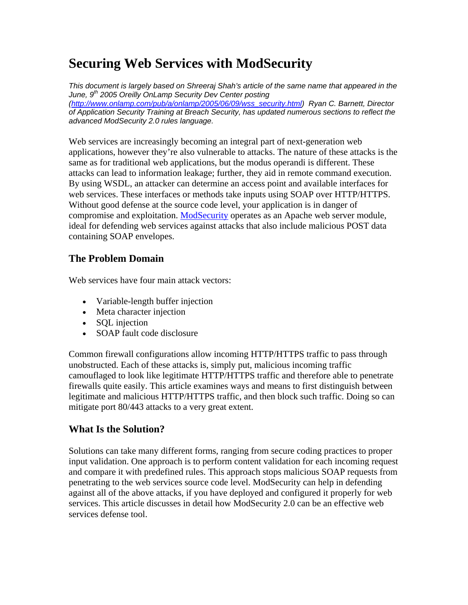# **Securing Web Services with ModSecurity**

*This document is largely based on Shreeraj Shah's article of the same name that appeared in the June, 9th 2005 Oreilly OnLamp Security Dev Center posting (http://www.onlamp.com/pub/a/onlamp/2005/06/09/wss\_security.html) Ryan C. Barnett, Director of Application Security Training at Breach Security, has updated numerous sections to reflect the advanced ModSecurity 2.0 rules language.* 

Web services are increasingly becoming an integral part of next-generation web applications, however they're also vulnerable to attacks. The nature of these attacks is the same as for traditional web applications, but the modus operandi is different. These attacks can lead to information leakage; further, they aid in remote command execution. By using WSDL, an attacker can determine an access point and available interfaces for web services. These interfaces or methods take inputs using SOAP over HTTP/HTTPS. Without good defense at the source code level, your application is in danger of compromise and exploitation. ModSecurity operates as an Apache web server module, ideal for defending web services against attacks that also include malicious POST data containing SOAP envelopes.

# **The Problem Domain**

Web services have four main attack vectors:

- Variable-length buffer injection
- Meta character injection
- SQL injection
- SOAP fault code disclosure

Common firewall configurations allow incoming HTTP/HTTPS traffic to pass through unobstructed. Each of these attacks is, simply put, malicious incoming traffic camouflaged to look like legitimate HTTP/HTTPS traffic and therefore able to penetrate firewalls quite easily. This article examines ways and means to first distinguish between legitimate and malicious HTTP/HTTPS traffic, and then block such traffic. Doing so can mitigate port 80/443 attacks to a very great extent.

# **What Is the Solution?**

Solutions can take many different forms, ranging from secure coding practices to proper input validation. One approach is to perform content validation for each incoming request and compare it with predefined rules. This approach stops malicious SOAP requests from penetrating to the web services source code level. ModSecurity can help in defending against all of the above attacks, if you have deployed and configured it properly for web services. This article discusses in detail how ModSecurity 2.0 can be an effective web services defense tool.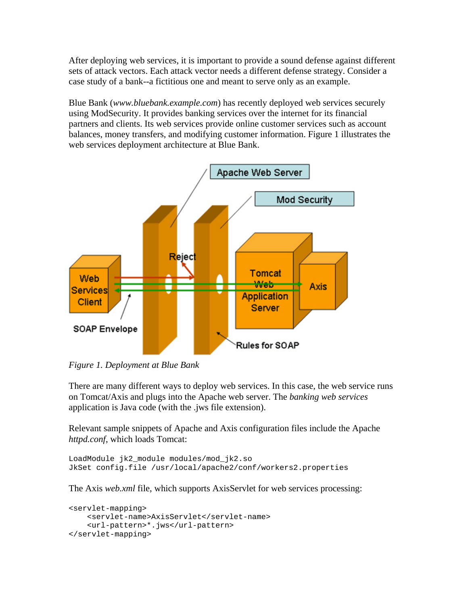After deploying web services, it is important to provide a sound defense against different sets of attack vectors. Each attack vector needs a different defense strategy. Consider a case study of a bank--a fictitious one and meant to serve only as an example.

Blue Bank (*www.bluebank.example.com*) has recently deployed web services securely using ModSecurity. It provides banking services over the internet for its financial partners and clients. Its web services provide online customer services such as account balances, money transfers, and modifying customer information. Figure 1 illustrates the web services deployment architecture at Blue Bank.



*Figure 1. Deployment at Blue Bank*

There are many different ways to deploy web services. In this case, the web service runs on Tomcat/Axis and plugs into the Apache web server. The *banking web services* application is Java code (with the .jws file extension).

Relevant sample snippets of Apache and Axis configuration files include the Apache *httpd.conf*, which loads Tomcat:

```
LoadModule jk2_module modules/mod_jk2.so 
JkSet config.file /usr/local/apache2/conf/workers2.properties
```
The Axis *web.xml* file, which supports AxisServlet for web services processing:

```
<servlet-mapping> 
     <servlet-name>AxisServlet</servlet-name> 
     <url-pattern>*.jws</url-pattern> 
</servlet-mapping>
```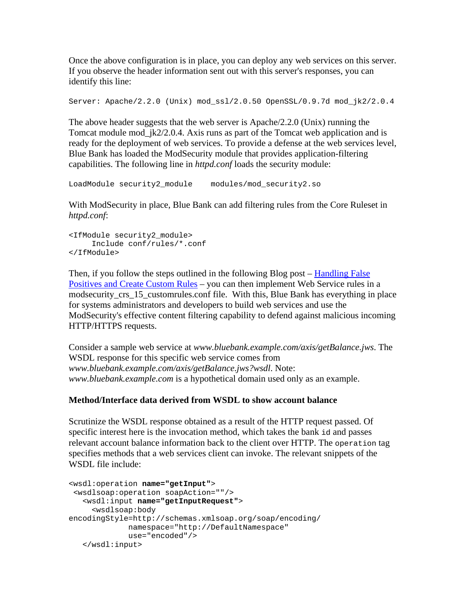Once the above configuration is in place, you can deploy any web services on this server. If you observe the header information sent out with this server's responses, you can identify this line:

Server: Apache/2.2.0 (Unix) mod\_ssl/2.0.50 OpenSSL/0.9.7d mod\_jk2/2.0.4

The above header suggests that the web server is Apache/2.2.0 (Unix) running the Tomcat module mod\_jk2/2.0.4. Axis runs as part of the Tomcat web application and is ready for the deployment of web services. To provide a defense at the web services level, Blue Bank has loaded the ModSecurity module that provides application-filtering capabilities. The following line in *httpd.conf* loads the security module:

```
LoadModule security2_module modules/mod_security2.so
```
With ModSecurity in place, Blue Bank can add filtering rules from the Core Ruleset in *httpd.conf*:

```
<IfModule security2_module> 
      Include conf/rules/*.conf 
</IfModule>
```
Then, if you follow the steps outlined in the following Blog post – Handling False Positives and Create Custom Rules – you can then implement Web Service rules in a modsecurity\_crs\_15\_customrules.conf file. With this, Blue Bank has everything in place for systems administrators and developers to build web services and use the ModSecurity's effective content filtering capability to defend against malicious incoming HTTP/HTTPS requests.

Consider a sample web service at *www.bluebank.example.com/axis/getBalance.jws*. The WSDL response for this specific web service comes from *www.bluebank.example.com/axis/getBalance.jws?wsdl*. Note: *www.bluebank.example.com* is a hypothetical domain used only as an example.

# **Method/Interface data derived from WSDL to show account balance**

Scrutinize the WSDL response obtained as a result of the HTTP request passed. Of specific interest here is the invocation method, which takes the bank id and passes relevant account balance information back to the client over HTTP. The operation tag specifies methods that a web services client can invoke. The relevant snippets of the WSDL file include:

```
<wsdl:operation name="getInput"> 
  <wsdlsoap:operation soapAction=""/> 
    <wsdl:input name="getInputRequest"> 
      <wsdlsoap:body 
encodingStyle=http://schemas.xmlsoap.org/soap/encoding/ 
              namespace="http://DefaultNamespace" 
              use="encoded"/> 
    </wsdl:input>
```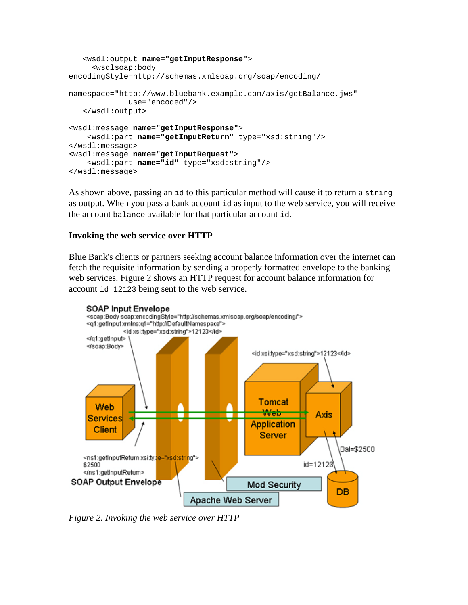```
 <wsdl:output name="getInputResponse"> 
      <wsdlsoap:body 
encodingStyle=http://schemas.xmlsoap.org/soap/encoding/ 
namespace="http://www.bluebank.example.com/axis/getBalance.jws" 
              use="encoded"/> 
    </wsdl:output> 
<wsdl:message name="getInputResponse"> 
     <wsdl:part name="getInputReturn" type="xsd:string"/> 
</wsdl:message> 
<wsdl:message name="getInputRequest"> 
     <wsdl:part name="id" type="xsd:string"/> 
</wsdl:message>
```
As shown above, passing an id to this particular method will cause it to return a string as output. When you pass a bank account id as input to the web service, you will receive the account balance available for that particular account id.

# **Invoking the web service over HTTP**

Blue Bank's clients or partners seeking account balance information over the internet can fetch the requisite information by sending a properly formatted envelope to the banking web services. Figure 2 shows an HTTP request for account balance information for account id 12123 being sent to the web service.



*Figure 2. Invoking the web service over HTTP*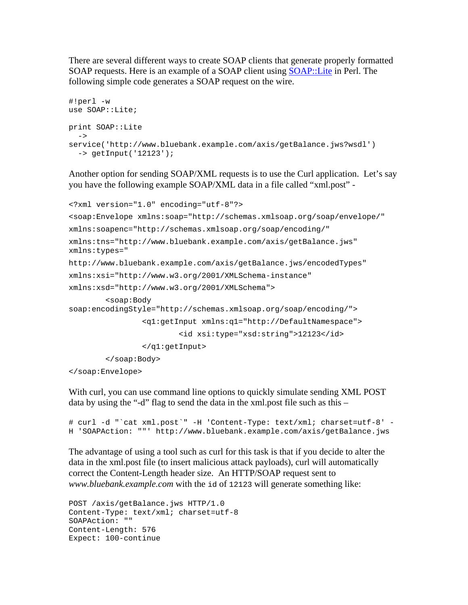There are several different ways to create SOAP clients that generate properly formatted SOAP requests. Here is an example of a SOAP client using SOAP::Lite in Perl. The following simple code generates a SOAP request on the wire.

```
#!perl -w 
use SOAP::Lite; 
print SOAP::Lite 
  \rightarrowservice('http://www.bluebank.example.com/axis/getBalance.jws?wsdl') 
   -> getInput('12123');
```
Another option for sending SOAP/XML requests is to use the Curl application. Let's say you have the following example SOAP/XML data in a file called "xml.post" -

```
<?xml version="1.0" encoding="utf-8"?> 
<soap:Envelope xmlns:soap="http://schemas.xmlsoap.org/soap/envelope/" 
xmlns:soapenc="http://schemas.xmlsoap.org/soap/encoding/" 
xmlns:tns="http://www.bluebank.example.com/axis/getBalance.jws" 
xmlns:types=" 
http://www.bluebank.example.com/axis/getBalance.jws/encodedTypes" 
xmlns:xsi="http://www.w3.org/2001/XMLSchema-instance" 
xmlns:xsd="http://www.w3.org/2001/XMLSchema"> 
         <soap:Body 
soap:encodingStyle="http://schemas.xmlsoap.org/soap/encoding/"> 
                 <q1:getInput xmlns:q1="http://DefaultNamespace"> 
                          <id xsi:type="xsd:string">12123</id> 
                 </q1:getInput> 
         </soap:Body> 
</soap:Envelope>
```
With curl, you can use command line options to quickly simulate sending XML POST data by using the "-d" flag to send the data in the xml.post file such as this –

```
# curl -d "`cat xml.post`" -H 'Content-Type: text/xml; charset=utf-8' -
H 'SOAPAction: ""' http://www.bluebank.example.com/axis/getBalance.jws
```
The advantage of using a tool such as curl for this task is that if you decide to alter the data in the xml.post file (to insert malicious attack payloads), curl will automatically correct the Content-Length header size. An HTTP/SOAP request sent to *www.bluebank.example.com* with the id of 12123 will generate something like:

```
POST /axis/getBalance.jws HTTP/1.0 
Content-Type: text/xml; charset=utf-8 
SOAPAction: "" 
Content-Length: 576 
Expect: 100-continue
```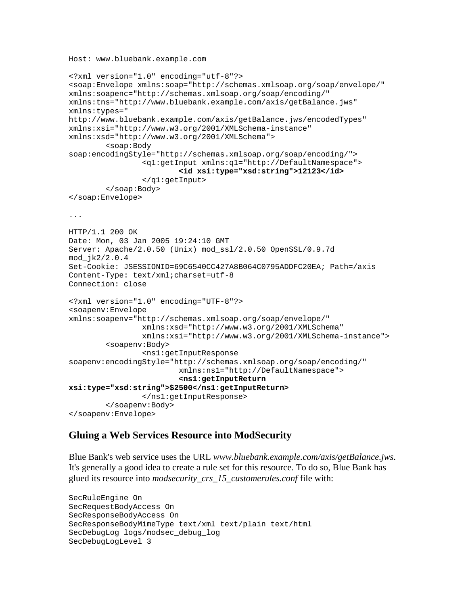Host: www.bluebank.example.com

```
<?xml version="1.0" encoding="utf-8"?> 
<soap:Envelope xmlns:soap="http://schemas.xmlsoap.org/soap/envelope/" 
xmlns:soapenc="http://schemas.xmlsoap.org/soap/encoding/" 
xmlns:tns="http://www.bluebank.example.com/axis/getBalance.jws" 
xmlns:types=" 
http://www.bluebank.example.com/axis/getBalance.jws/encodedTypes" 
xmlns:xsi="http://www.w3.org/2001/XMLSchema-instance" 
xmlns:xsd="http://www.w3.org/2001/XMLSchema"> 
         <soap:Body 
soap:encodingStyle="http://schemas.xmlsoap.org/soap/encoding/"> 
                  <q1:getInput xmlns:q1="http://DefaultNamespace"> 
                          <id xsi:type="xsd:string">12123</id>
                  </q1:getInput> 
         </soap:Body> 
</soap:Envelope> 
... 
HTTP/1.1 200 OK 
Date: Mon, 03 Jan 2005 19:24:10 GMT 
Server: Apache/2.0.50 (Unix) mod_ssl/2.0.50 OpenSSL/0.9.7d 
mod_jk2/2.0.4 
Set-Cookie: JSESSIONID=69C6540CC427A8B064C0795ADDFC20EA; Path=/axis 
Content-Type: text/xml;charset=utf-8 
Connection: close 
<?xml version="1.0" encoding="UTF-8"?> 
<soapenv:Envelope 
xmlns:soapenv="http://schemas.xmlsoap.org/soap/envelope/" 
                  xmlns:xsd="http://www.w3.org/2001/XMLSchema" 
                 xmlns:xsi="http://www.w3.org/2001/XMLSchema-instance"> 
         <soapenv:Body> 
                  <ns1:getInputResponse 
soapenv:encodingStyle="http://schemas.xmlsoap.org/soap/encoding/" 
                          xmlns:ns1="http://DefaultNamespace"> 
                          <ns1:getInputReturn 
xsi:type="xsd:string">$2500</ns1:getInputReturn>
                  </ns1:getInputResponse> 
         </soapenv:Body> 
</soapenv:Envelope>
```
# **Gluing a Web Services Resource into ModSecurity**

Blue Bank's web service uses the URL *www.bluebank.example.com/axis/getBalance.jws*. It's generally a good idea to create a rule set for this resource. To do so, Blue Bank has glued its resource into *modsecurity\_crs\_15\_customerules.conf* file with:

```
SecRuleEngine On 
SecRequestBodyAccess On 
SecResponseBodyAccess On 
SecResponseBodyMimeType text/xml text/plain text/html 
SecDebugLog logs/modsec_debug_log 
SecDebugLogLevel 3
```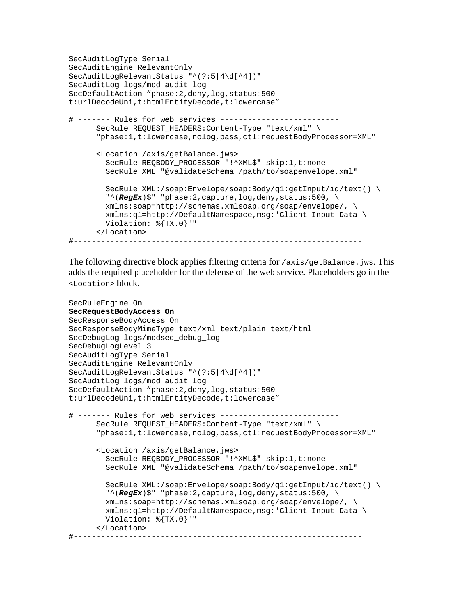```
SecAuditLogType Serial 
SecAuditEngine RelevantOnly 
SecAuditLogRelevantStatus "^(?:5|4\d[^4])" 
SecAuditLog logs/mod_audit_log 
SecDefaultAction "phase:2,deny,log,status:500
t:urlDecodeUni,t:htmlEntityDecode,t:lowercase" 
# ------- Rules for web services -------------------------- 
       SecRule REQUEST_HEADERS:Content-Type "text/xml" \ 
       "phase:1,t:lowercase,nolog,pass,ctl:requestBodyProcessor=XML" 
       <Location /axis/getBalance.jws> 
         SecRule REQBODY_PROCESSOR "!^XML$" skip:1,t:none 
         SecRule XML "@validateSchema /path/to/soapenvelope.xml" 
         SecRule XML:/soap:Envelope/soap:Body/q1:getInput/id/text() \ 
         "^(RegEx)$" "phase:2,capture,log,deny,status:500, \ 
         xmlns:soap=http://schemas.xmlsoap.org/soap/envelope/, \ 
         xmlns:q1=http://DefaultNamespace,msg:'Client Input Data \ 
         Violation: %{TX.0}'" 
       </Location> 
#---------------------------------------------------------------
```
The following directive block applies filtering criteria for  $/axis/getBalance$ . jws. This adds the required placeholder for the defense of the web service. Placeholders go in the <Location> block.

```
SecRuleEngine On 
SecRequestBodyAccess On 
SecResponseBodyAccess On 
SecResponseBodyMimeType text/xml text/plain text/html 
SecDebugLog logs/modsec_debug_log 
SecDebugLogLevel 3 
SecAuditLogType Serial 
SecAuditEngine RelevantOnly 
SecAuditLogRelevantStatus "^(?:5|4\d[^4])" 
SecAuditLog logs/mod_audit_log 
SecDefaultAction "phase:2,deny,log,status:500
t:urlDecodeUni,t:htmlEntityDecode,t:lowercase" 
# ------- Rules for web services -------------------------- 
       SecRule REQUEST_HEADERS:Content-Type "text/xml" \ 
       "phase:1,t:lowercase,nolog,pass,ctl:requestBodyProcessor=XML" 
       <Location /axis/getBalance.jws> 
        SecRule REQBODY PROCESSOR "!^XML$" skip:1,t:none
         SecRule XML "@validateSchema /path/to/soapenvelope.xml" 
         SecRule XML:/soap:Envelope/soap:Body/q1:getInput/id/text() \ 
         "^(RegEx)$" "phase:2,capture,log,deny,status:500, \ 
         xmlns:soap=http://schemas.xmlsoap.org/soap/envelope/, \ 
         xmlns:q1=http://DefaultNamespace,msg:'Client Input Data \ 
         Violation: %{TX.0}'" 
       </Location> 
#---------------------------------------------------------------
```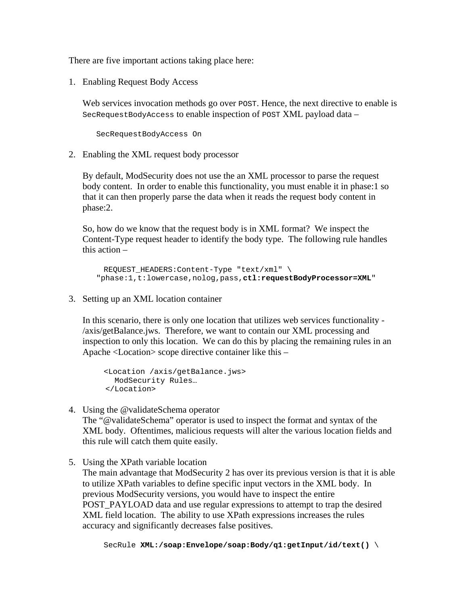There are five important actions taking place here:

1. Enabling Request Body Access

Web services invocation methods go over POST. Hence, the next directive to enable is SecRequestBodyAccess to enable inspection of POST XML payload data –

SecRequestBodyAccess On

2. Enabling the XML request body processor

By default, ModSecurity does not use the an XML processor to parse the request body content. In order to enable this functionality, you must enable it in phase:1 so that it can then properly parse the data when it reads the request body content in phase:2.

So, how do we know that the request body is in XML format? We inspect the Content-Type request header to identify the body type. The following rule handles this action –

 REQUEST\_HEADERS:Content-Type "text/xml" \ "phase:1,t:lowercase,nolog,pass,**ctl:requestBodyProcessor=XML**"

3. Setting up an XML location container

In this scenario, there is only one location that utilizes web services functionality - /axis/getBalance.jws. Therefore, we want to contain our XML processing and inspection to only this location. We can do this by placing the remaining rules in an Apache <Location> scope directive container like this –

```
 <Location /axis/getBalance.jws> 
   ModSecurity Rules… 
 </Location>
```
4. Using the @validateSchema operator

The "@validateSchema" operator is used to inspect the format and syntax of the XML body. Oftentimes, malicious requests will alter the various location fields and this rule will catch them quite easily.

5. Using the XPath variable location The main advantage that ModSecurity 2 has over its previous version is that it is able to utilize XPath variables to define specific input vectors in the XML body. In previous ModSecurity versions, you would have to inspect the entire POST\_PAYLOAD data and use regular expressions to attempt to trap the desired XML field location. The ability to use XPath expressions increases the rules accuracy and significantly decreases false positives.

SecRule **XML:/soap:Envelope/soap:Body/q1:getInput/id/text()** \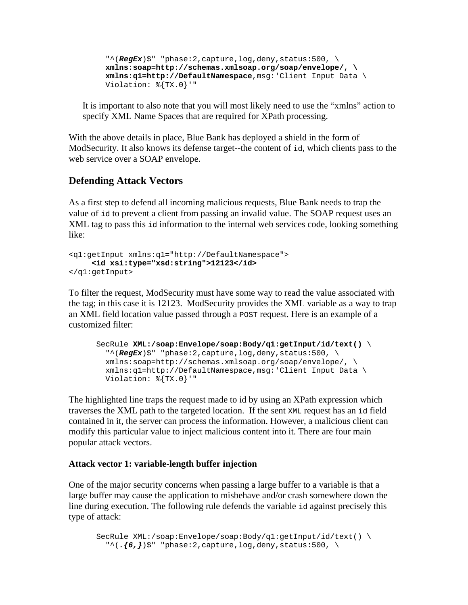$"\hat{}$  (*RegEx*)\$" "phase: 2, capture, log, deny, status: 500, \ **xmlns:soap=http://schemas.xmlsoap.org/soap/envelope/, \ xmlns:q1=http://DefaultNamespace**,msg:'Client Input Data \ Violation: %{TX.0}'"

It is important to also note that you will most likely need to use the "xmlns" action to specify XML Name Spaces that are required for XPath processing.

With the above details in place, Blue Bank has deployed a shield in the form of ModSecurity. It also knows its defense target--the content of id, which clients pass to the web service over a SOAP envelope.

# **Defending Attack Vectors**

As a first step to defend all incoming malicious requests, Blue Bank needs to trap the value of id to prevent a client from passing an invalid value. The SOAP request uses an XML tag to pass this id information to the internal web services code, looking something like:

```
<q1:getInput xmlns:q1="http://DefaultNamespace"> 
      <id xsi:type="xsd:string">12123</id>
</q1:getInput>
```
To filter the request, ModSecurity must have some way to read the value associated with the tag; in this case it is 12123. ModSecurity provides the XML variable as a way to trap an XML field location value passed through a POST request. Here is an example of a customized filter:

```
SecRule XML:/soap:Envelope/soap:Body/q1:getInput/id/text() \ 
  "\hat{} (RegEx)$" "phase: 2, capture, log, deny, status: 500, \
  xmlns:soap=http://schemas.xmlsoap.org/soap/envelope/, \ 
  xmlns:q1=http://DefaultNamespace,msg:'Client Input Data \ 
  Violation: %{TX.0}'"
```
The highlighted line traps the request made to id by using an XPath expression which traverses the XML path to the targeted location. If the sent XML request has an id field contained in it, the server can process the information. However, a malicious client can modify this particular value to inject malicious content into it. There are four main popular attack vectors.

# **Attack vector 1: variable-length buffer injection**

One of the major security concerns when passing a large buffer to a variable is that a large buffer may cause the application to misbehave and/or crash somewhere down the line during execution. The following rule defends the variable id against precisely this type of attack:

SecRule XML:/soap:Envelope/soap:Body/q1:getInput/id/text() \  $\binom{m}{6}$ ,  $\binom{6}{7}$   $\binom{m}{1}$   $\binom{m}{2}$ , capture, log, deny, status: 500,  $\binom{m}{2}$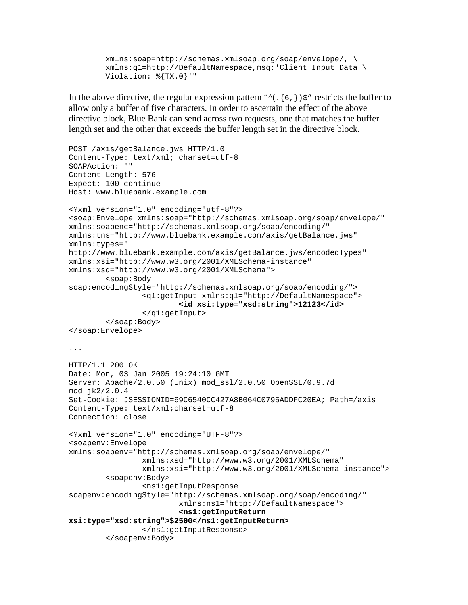xmlns:soap=http://schemas.xmlsoap.org/soap/envelope/, \ xmlns:q1=http://DefaultNamespace,msg:'Client Input Data \ Violation: %{TX.0}'"

In the above directive, the regular expression pattern " $\land$  (. {6,})\$" restricts the buffer to allow only a buffer of five characters. In order to ascertain the effect of the above directive block, Blue Bank can send across two requests, one that matches the buffer length set and the other that exceeds the buffer length set in the directive block.

```
POST /axis/getBalance.jws HTTP/1.0 
Content-Type: text/xml; charset=utf-8 
SOAPAction: "" 
Content-Length: 576 
Expect: 100-continue 
Host: www.bluebank.example.com 
<?xml version="1.0" encoding="utf-8"?> 
<soap:Envelope xmlns:soap="http://schemas.xmlsoap.org/soap/envelope/" 
xmlns:soapenc="http://schemas.xmlsoap.org/soap/encoding/" 
xmlns:tns="http://www.bluebank.example.com/axis/getBalance.jws" 
xmlns:types=" 
http://www.bluebank.example.com/axis/getBalance.jws/encodedTypes" 
xmlns:xsi="http://www.w3.org/2001/XMLSchema-instance" 
xmlns:xsd="http://www.w3.org/2001/XMLSchema"> 
         <soap:Body 
soap:encodingStyle="http://schemas.xmlsoap.org/soap/encoding/"> 
                  <q1:getInput xmlns:q1="http://DefaultNamespace"> 
                          <id xsi:type="xsd:string">12123</id>
                  </q1:getInput> 
         </soap:Body> 
</soap:Envelope> 
... 
HTTP/1.1 200 OK 
Date: Mon, 03 Jan 2005 19:24:10 GMT 
Server: Apache/2.0.50 (Unix) mod_ssl/2.0.50 OpenSSL/0.9.7d 
mod_jk2/2.0.4 
Set-Cookie: JSESSIONID=69C6540CC427A8B064C0795ADDFC20EA; Path=/axis 
Content-Type: text/xml;charset=utf-8 
Connection: close 
<?xml version="1.0" encoding="UTF-8"?> 
<soapenv:Envelope 
xmlns:soapenv="http://schemas.xmlsoap.org/soap/envelope/" 
                 xmlns:xsd="http://www.w3.org/2001/XMLSchema" 
                 xmlns:xsi="http://www.w3.org/2001/XMLSchema-instance"> 
         <soapenv:Body> 
                  <ns1:getInputResponse 
soapenv:encodingStyle="http://schemas.xmlsoap.org/soap/encoding/" 
                          xmlns:ns1="http://DefaultNamespace"> 
                          <ns1:getInputReturn 
xsi:type="xsd:string">$2500</ns1:getInputReturn>
                  </ns1:getInputResponse> 
         </soapenv:Body>
```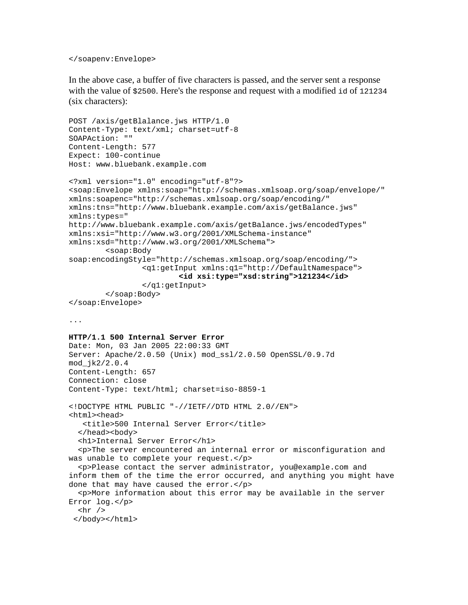#### </soapenv:Envelope>

In the above case, a buffer of five characters is passed, and the server sent a response with the value of \$2500. Here's the response and request with a modified id of 121234 (six characters):

```
POST /axis/getBlalance.jws HTTP/1.0 
Content-Type: text/xml; charset=utf-8 
SOAPAction: "" 
Content-Length: 577 
Expect: 100-continue 
Host: www.bluebank.example.com 
<?xml version="1.0" encoding="utf-8"?> 
<soap:Envelope xmlns:soap="http://schemas.xmlsoap.org/soap/envelope/" 
xmlns:soapenc="http://schemas.xmlsoap.org/soap/encoding/" 
xmlns:tns="http://www.bluebank.example.com/axis/getBalance.jws" 
xmlns:types=" 
http://www.bluebank.example.com/axis/getBalance.jws/encodedTypes" 
xmlns:xsi="http://www.w3.org/2001/XMLSchema-instance" 
xmlns:xsd="http://www.w3.org/2001/XMLSchema"> 
         <soap:Body 
soap:encodingStyle="http://schemas.xmlsoap.org/soap/encoding/"> 
                  <q1:getInput xmlns:q1="http://DefaultNamespace"> 
                          <id xsi:type="xsd:string">121234</id>
                  </q1:getInput> 
         </soap:Body> 
</soap:Envelope> 
... 
HTTP/1.1 500 Internal Server Error 
Date: Mon, 03 Jan 2005 22:00:33 GMT 
Server: Apache/2.0.50 (Unix) mod_ssl/2.0.50 OpenSSL/0.9.7d 
mod_jk2/2.0.4 
Content-Length: 657 
Connection: close 
Content-Type: text/html; charset=iso-8859-1 
<!DOCTYPE HTML PUBLIC "-//IETF//DTD HTML 2.0//EN"> 
<html><head>
    <title>500 Internal Server Error</title> 
  </head><br/>body>
   <h1>Internal Server Error</h1> 
   <p>The server encountered an internal error or misconfiguration and 
was unable to complete your request.</p> 
   <p>Please contact the server administrator, you@example.com and 
inform them of the time the error occurred, and anything you might have 
done that may have caused the error.</p> 
   <p>More information about this error may be available in the server 
Error log.</p> 
  \frac{1}{2} </body></html>
```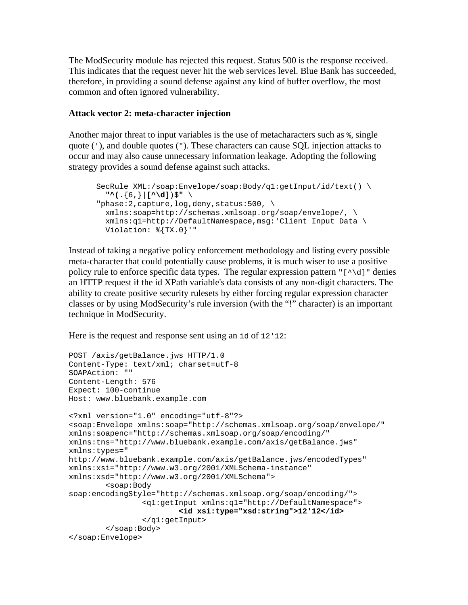The ModSecurity module has rejected this request. Status 500 is the response received. This indicates that the request never hit the web services level. Blue Bank has succeeded, therefore, in providing a sound defense against any kind of buffer overflow, the most common and often ignored vulnerability.

### **Attack vector 2: meta-character injection**

Another major threat to input variables is the use of metacharacters such as  $\epsilon$ , single quote ('), and double quotes ("). These characters can cause SQL injection attacks to occur and may also cause unnecessary information leakage. Adopting the following strategy provides a sound defense against such attacks.

```
SecRule XML:/soap:Envelope/soap:Body/q1:getInput/id/text() \ 
  "^(.{6,}|[^\d])$" \ 
"phase:2,capture,log,deny,status:500, \ 
  xmlns:soap=http://schemas.xmlsoap.org/soap/envelope/, \ 
  xmlns:q1=http://DefaultNamespace,msg:'Client Input Data \ 
  Violation: %{TX.0}'"
```
Instead of taking a negative policy enforcement methodology and listing every possible meta-character that could potentially cause problems, it is much wiser to use a positive policy rule to enforce specific data types. The regular expression pattern  $\lceil \wedge \dagger \rangle$  denies an HTTP request if the id XPath variable's data consists of any non-digit characters. The ability to create positive security rulesets by either forcing regular expression character classes or by using ModSecurity's rule inversion (with the "!" character) is an important technique in ModSecurity.

Here is the request and response sent using an id of 12'12:

```
POST /axis/getBalance.jws HTTP/1.0 
Content-Type: text/xml; charset=utf-8 
SOAPAction: "" 
Content-Length: 576 
Expect: 100-continue 
Host: www.bluebank.example.com 
<?xml version="1.0" encoding="utf-8"?> 
<soap:Envelope xmlns:soap="http://schemas.xmlsoap.org/soap/envelope/" 
xmlns:soapenc="http://schemas.xmlsoap.org/soap/encoding/" 
xmlns:tns="http://www.bluebank.example.com/axis/getBalance.jws" 
xmlns:types=" 
http://www.bluebank.example.com/axis/getBalance.jws/encodedTypes" 
xmlns:xsi="http://www.w3.org/2001/XMLSchema-instance" 
xmlns:xsd="http://www.w3.org/2001/XMLSchema"> 
         <soap:Body 
soap:encodingStyle="http://schemas.xmlsoap.org/soap/encoding/"> 
                 <q1:getInput xmlns:q1="http://DefaultNamespace"> 
                          <id xsi:type="xsd:string">12'12</id>
                 </q1:getInput> 
         </soap:Body> 
</soap:Envelope>
```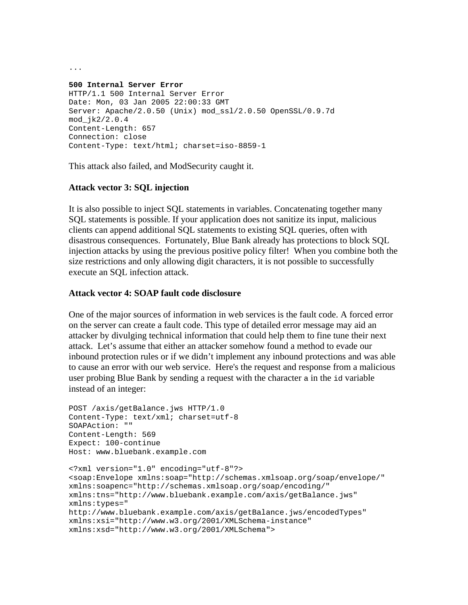**500 Internal Server Error**  HTTP/1.1 500 Internal Server Error Date: Mon, 03 Jan 2005 22:00:33 GMT Server: Apache/2.0.50 (Unix) mod\_ssl/2.0.50 OpenSSL/0.9.7d mod\_jk2/2.0.4 Content-Length: 657 Connection: close Content-Type: text/html; charset=iso-8859-1

This attack also failed, and ModSecurity caught it.

# **Attack vector 3: SQL injection**

It is also possible to inject SQL statements in variables. Concatenating together many SQL statements is possible. If your application does not sanitize its input, malicious clients can append additional SQL statements to existing SQL queries, often with disastrous consequences. Fortunately, Blue Bank already has protections to block SQL injection attacks by using the previous positive policy filter! When you combine both the size restrictions and only allowing digit characters, it is not possible to successfully execute an SQL infection attack.

# **Attack vector 4: SOAP fault code disclosure**

One of the major sources of information in web services is the fault code. A forced error on the server can create a fault code. This type of detailed error message may aid an attacker by divulging technical information that could help them to fine tune their next attack. Let's assume that either an attacker somehow found a method to evade our inbound protection rules or if we didn't implement any inbound protections and was able to cause an error with our web service. Here's the request and response from a malicious user probing Blue Bank by sending a request with the character a in the id variable instead of an integer:

```
POST /axis/getBalance.jws HTTP/1.0 
Content-Type: text/xml; charset=utf-8 
SOAPAction: "" 
Content-Length: 569 
Expect: 100-continue 
Host: www.bluebank.example.com 
<?xml version="1.0" encoding="utf-8"?> 
<soap:Envelope xmlns:soap="http://schemas.xmlsoap.org/soap/envelope/" 
xmlns:soapenc="http://schemas.xmlsoap.org/soap/encoding/" 
xmlns:tns="http://www.bluebank.example.com/axis/getBalance.jws" 
xmlns:types=" 
http://www.bluebank.example.com/axis/getBalance.jws/encodedTypes" 
xmlns:xsi="http://www.w3.org/2001/XMLSchema-instance" 
xmlns:xsd="http://www.w3.org/2001/XMLSchema">
```
...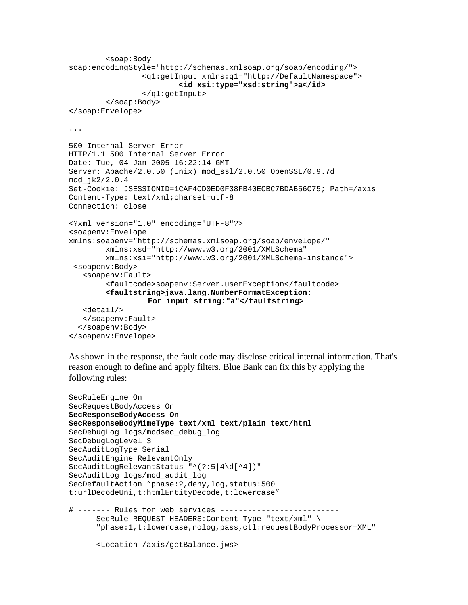```
 <soap:Body 
soap:encodingStyle="http://schemas.xmlsoap.org/soap/encoding/"> 
                  <q1:getInput xmlns:q1="http://DefaultNamespace"> 
                           <id xsi:type="xsd:string">a</id>
                  </q1:getInput> 
         </soap:Body> 
</soap:Envelope> 
... 
500 Internal Server Error 
HTTP/1.1 500 Internal Server Error 
Date: Tue, 04 Jan 2005 16:22:14 GMT 
Server: Apache/2.0.50 (Unix) mod_ssl/2.0.50 OpenSSL/0.9.7d 
mod_jk2/2.0.4 
Set-Cookie: JSESSIONID=1CAF4CD0ED0F38FB40ECBC7BDAB56C75; Path=/axis 
Content-Type: text/xml;charset=utf-8 
Connection: close 
<?xml version="1.0" encoding="UTF-8"?> 
<soapenv:Envelope 
xmlns:soapenv="http://schemas.xmlsoap.org/soap/envelope/" 
         xmlns:xsd="http://www.w3.org/2001/XMLSchema" 
         xmlns:xsi="http://www.w3.org/2001/XMLSchema-instance"> 
  <soapenv:Body> 
    <soapenv:Fault> 
         <faultcode>soapenv:Server.userException</faultcode> 
         <faultstring>java.lang.NumberFormatException: 
                   For input string:"a"</faultstring>
    <detail/> 
    </soapenv:Fault> 
   </soapenv:Body> 
</soapenv:Envelope>
```
As shown in the response, the fault code may disclose critical internal information. That's reason enough to define and apply filters. Blue Bank can fix this by applying the following rules:

```
SecRuleEngine On 
SecRequestBodyAccess On 
SecResponseBodyAccess On 
SecResponseBodyMimeType text/xml text/plain text/html 
SecDebugLog logs/modsec_debug_log 
SecDebugLogLevel 3 
SecAuditLogType Serial 
SecAuditEngine RelevantOnly 
SecAuditLogRelevantStatus "^(?:5|4\d[^4])" 
SecAuditLog logs/mod_audit_log 
SecDefaultAction "phase:2,deny,log,status:500
t:urlDecodeUni,t:htmlEntityDecode,t:lowercase" 
# ------- Rules for web services -------------------------- 
       SecRule REQUEST_HEADERS:Content-Type "text/xml" \ 
       "phase:1,t:lowercase,nolog,pass,ctl:requestBodyProcessor=XML" 
       <Location /axis/getBalance.jws>
```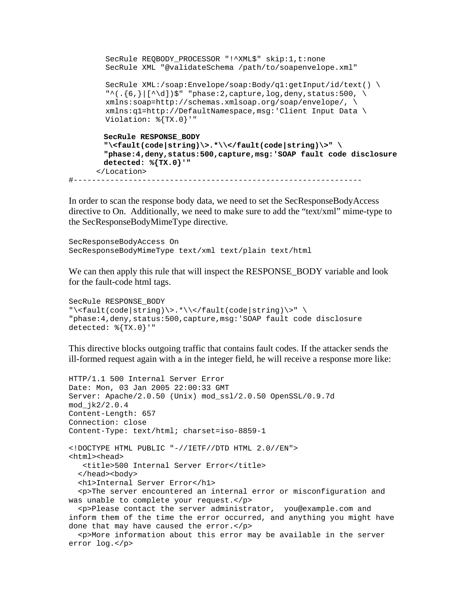```
 SecRule REQBODY_PROCESSOR "!^XML$" skip:1,t:none 
  SecRule XML "@validateSchema /path/to/soapenvelope.xml" 
  SecRule XML:/soap:Envelope/soap:Body/q1:getInput/id/text() \ 
  "\text{``(}.{6},||[\text{``d}])$" "phase:2, capture, log, deny, status:500, \n\ xmlns:soap=http://schemas.xmlsoap.org/soap/envelope/, \ 
  xmlns:q1=http://DefaultNamespace,msg:'Client Input Data \ 
  Violation: %{TX.0}'" 
 SecRule RESPONSE_BODY 
 "\<fault(code|string)\>.*\\</fault(code|string)\>" \ 
 "phase:4,deny,status:500,capture,msg:'SOAP fault code disclosure 
 detected: %{TX.0}'" 
 </Location>
```
#---------------------------------------------------------------

In order to scan the response body data, we need to set the SecResponseBodyAccess directive to On. Additionally, we need to make sure to add the "text/xml" mime-type to the SecResponseBodyMimeType directive.

```
SecResponseBodyAccess On 
SecResponseBodyMimeType text/xml text/plain text/html
```
We can then apply this rule that will inspect the RESPONSE\_BODY variable and look for the fault-code html tags.

```
SecRule RESPONSE_BODY 
"\<fault(code|string)\>.*\\</fault(code|string)\>" \ 
"phase:4,deny,status:500,capture,msg:'SOAP fault code disclosure 
detected: %{TX.0}'"
```
This directive blocks outgoing traffic that contains fault codes. If the attacker sends the ill-formed request again with a in the integer field, he will receive a response more like:

```
HTTP/1.1 500 Internal Server Error 
Date: Mon, 03 Jan 2005 22:00:33 GMT 
Server: Apache/2.0.50 (Unix) mod_ssl/2.0.50 OpenSSL/0.9.7d 
mod_jk2/2.0.4 
Content-Length: 657 
Connection: close 
Content-Type: text/html; charset=iso-8859-1 
<!DOCTYPE HTML PUBLIC "-//IETF//DTD HTML 2.0//EN"> 
<html><head>
    <title>500 Internal Server Error</title> 
  </head><br/>body>
   <h1>Internal Server Error</h1> 
   <p>The server encountered an internal error or misconfiguration and 
was unable to complete your request.</p> 
   <p>Please contact the server administrator, you@example.com and 
inform them of the time the error occurred, and anything you might have 
done that may have caused the error.</p> 
   <p>More information about this error may be available in the server 
error log.</p>
```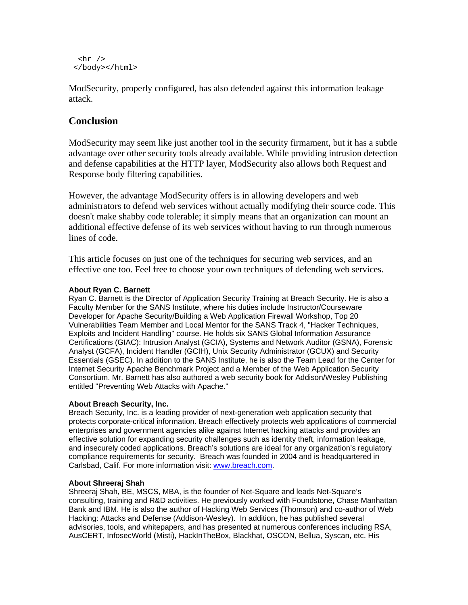```
\frac{1}{2} </body></html>
```
ModSecurity, properly configured, has also defended against this information leakage attack.

# **Conclusion**

ModSecurity may seem like just another tool in the security firmament, but it has a subtle advantage over other security tools already available. While providing intrusion detection and defense capabilities at the HTTP layer, ModSecurity also allows both Request and Response body filtering capabilities.

However, the advantage ModSecurity offers is in allowing developers and web administrators to defend web services without actually modifying their source code. This doesn't make shabby code tolerable; it simply means that an organization can mount an additional effective defense of its web services without having to run through numerous lines of code.

This article focuses on just one of the techniques for securing web services, and an effective one too. Feel free to choose your own techniques of defending web services.

### **About Ryan C. Barnett**

Ryan C. Barnett is the Director of Application Security Training at Breach Security. He is also a Faculty Member for the SANS Institute, where his duties include Instructor/Courseware Developer for Apache Security/Building a Web Application Firewall Workshop, Top 20 Vulnerabilities Team Member and Local Mentor for the SANS Track 4, "Hacker Techniques, Exploits and Incident Handling" course. He holds six SANS Global Information Assurance Certifications (GIAC): Intrusion Analyst (GCIA), Systems and Network Auditor (GSNA), Forensic Analyst (GCFA), Incident Handler (GCIH), Unix Security Administrator (GCUX) and Security Essentials (GSEC). In addition to the SANS Institute, he is also the Team Lead for the Center for Internet Security Apache Benchmark Project and a Member of the Web Application Security Consortium. Mr. Barnett has also authored a web security book for Addison/Wesley Publishing entitled "Preventing Web Attacks with Apache."

### **About Breach Security, Inc.**

Breach Security, Inc. is a leading provider of next-generation web application security that protects corporate-critical information. Breach effectively protects web applications of commercial enterprises and government agencies alike against Internet hacking attacks and provides an effective solution for expanding security challenges such as identity theft, information leakage, and insecurely coded applications. Breach's solutions are ideal for any organization's regulatory compliance requirements for security. Breach was founded in 2004 and is headquartered in Carlsbad, Calif. For more information visit: www.breach.com.

### **About Shreeraj Shah**

Shreeraj Shah, BE, MSCS, MBA, is the founder of Net-Square and leads Net-Square's consulting, training and R&D activities. He previously worked with Foundstone, Chase Manhattan Bank and IBM. He is also the author of Hacking Web Services (Thomson) and co-author of Web Hacking: Attacks and Defense (Addison-Wesley). In addition, he has published several advisories, tools, and whitepapers, and has presented at numerous conferences including RSA, AusCERT, InfosecWorld (Misti), HackInTheBox, Blackhat, OSCON, Bellua, Syscan, etc. His